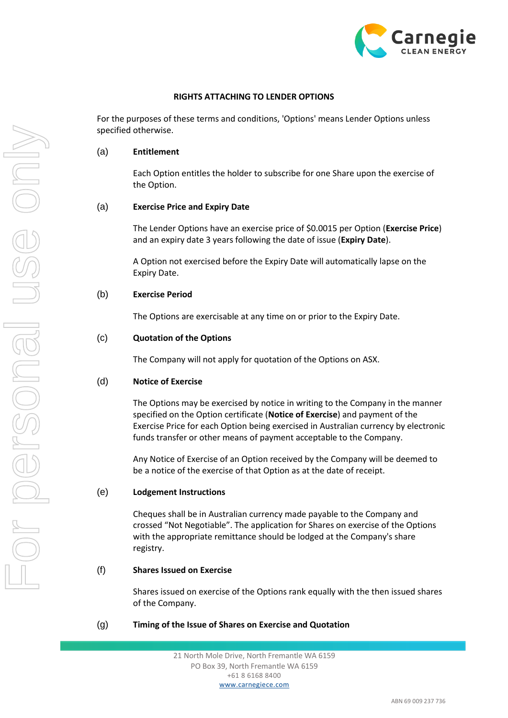

### **RIGHTS ATTACHING TO LENDER OPTIONS**

For the purposes of these terms and conditions, 'Options' means Lender Options unless specified otherwise.

### (a) **Entitlement**

Each Option entitles the holder to subscribe for one Share upon the exercise of the Option.

### (a) **Exercise Price and Expiry Date**

The Lender Options have an exercise price of \$0.0015 per Option (**Exercise Price**) and an expiry date 3 years following the date of issue (**Expiry Date**).

A Option not exercised before the Expiry Date will automatically lapse on the Expiry Date.

### (b) **Exercise Period**

The Options are exercisable at any time on or prior to the Expiry Date.

### (c) **Quotation of the Options**

The Company will not apply for quotation of the Options on ASX.

### (d) **Notice of Exercise**

The Options may be exercised by notice in writing to the Company in the manner specified on the Option certificate (**Notice of Exercise**) and payment of the Exercise Price for each Option being exercised in Australian currency by electronic funds transfer or other means of payment acceptable to the Company.

Any Notice of Exercise of an Option received by the Company will be deemed to be a notice of the exercise of that Option as at the date of receipt.

## (e) **Lodgement Instructions**

Cheques shall be in Australian currency made payable to the Company and crossed "Not Negotiable". The application for Shares on exercise of the Options with the appropriate remittance should be lodged at the Company's share registry.

## (f) **Shares Issued on Exercise**

Shares issued on exercise of the Options rank equally with the then issued shares of the Company.

## (g) **Timing of the Issue of Shares on Exercise and Quotation**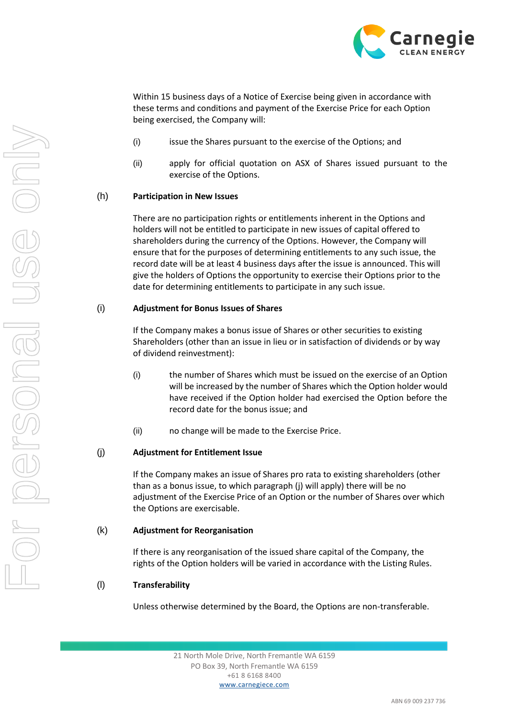

Within 15 business days of a Notice of Exercise being given in accordance with these terms and conditions and payment of the Exercise Price for each Option being exercised, the Company will:

- (i) issue the Shares pursuant to the exercise of the Options; and
- (ii) apply for official quotation on ASX of Shares issued pursuant to the exercise of the Options.

## (h) **Participation in New Issues**

There are no participation rights or entitlements inherent in the Options and holders will not be entitled to participate in new issues of capital offered to shareholders during the currency of the Options. However, the Company will ensure that for the purposes of determining entitlements to any such issue, the record date will be at least 4 business days after the issue is announced. This will give the holders of Options the opportunity to exercise their Options prior to the date for determining entitlements to participate in any such issue.

## (i) **Adjustment for Bonus Issues of Shares**

If the Company makes a bonus issue of Shares or other securities to existing Shareholders (other than an issue in lieu or in satisfaction of dividends or by way of dividend reinvestment):

- (i) the number of Shares which must be issued on the exercise of an Option will be increased by the number of Shares which the Option holder would have received if the Option holder had exercised the Option before the record date for the bonus issue; and
- (ii) no change will be made to the Exercise Price.

# (j) **Adjustment for Entitlement Issue**

If the Company makes an issue of Shares pro rata to existing shareholders (other than as a bonus issue, to which paragraph (j) will apply) there will be no adjustment of the Exercise Price of an Option or the number of Shares over which the Options are exercisable.

## (k) **Adjustment for Reorganisation**

If there is any reorganisation of the issued share capital of the Company, the rights of the Option holders will be varied in accordance with the Listing Rules.

## (l) **Transferability**

Unless otherwise determined by the Board, the Options are non-transferable.

21 North Mole Drive, North Fremantle WA 6159 PO Box 39, North Fremantle WA 6159 +61 8 6168 8400 www.carnegiece.com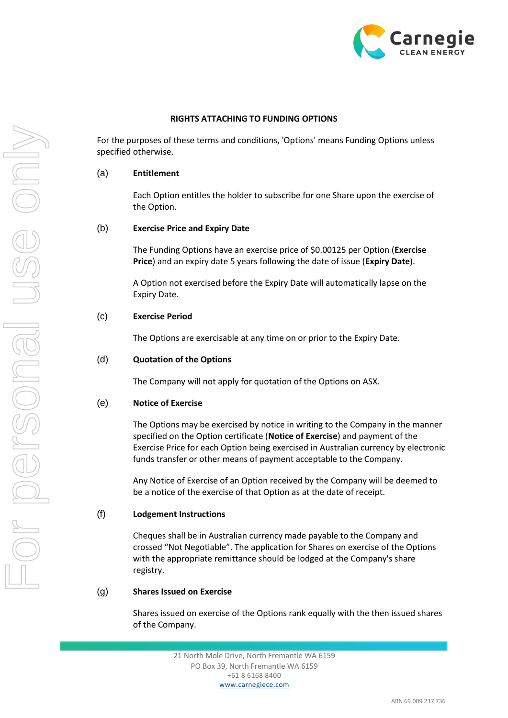

## **RIGHTS ATTACHING TO FUNDING OPTIONS**

For the purposes of these terms and conditions, 'Options' means Funding Options unless specified otherwise.

### (a) **Entitlement**

Each Option entitles the holder to subscribe for one Share upon the exercise of the Option.

### (b) **Exercise Price and Expiry Date**

The Funding Options have an exercise price of \$0.00125 per Option (**Exercise Price**) and an expiry date 5 years following the date of issue (**Expiry Date**).

A Option not exercised before the Expiry Date will automatically lapse on the Expiry Date.

### (c) **Exercise Period**

The Options are exercisable at any time on or prior to the Expiry Date.

## (d) **Quotation of the Options**

The Company will not apply for quotation of the Options on ASX.

### (e) **Notice of Exercise**

The Options may be exercised by notice in writing to the Company in the manner specified on the Option certificate (**Notice of Exercise**) and payment of the Exercise Price for each Option being exercised in Australian currency by electronic funds transfer or other means of payment acceptable to the Company.

Any Notice of Exercise of an Option received by the Company will be deemed to be a notice of the exercise of that Option as at the date of receipt.

#### (f) **Lodgement Instructions**

Cheques shall be in Australian currency made payable to the Company and crossed "Not Negotiable". The application for Shares on exercise of the Options with the appropriate remittance should be lodged at the Company's share registry.

### (g) **Shares Issued on Exercise**

Shares issued on exercise of the Options rank equally with the then issued shares of the Company.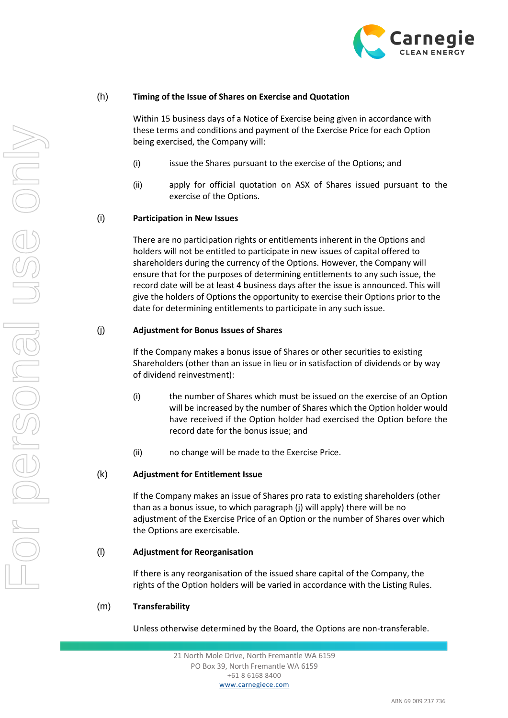

## (h) **Timing of the Issue of Shares on Exercise and Quotation**

Within 15 business days of a Notice of Exercise being given in accordance with these terms and conditions and payment of the Exercise Price for each Option being exercised, the Company will:

- (i) issue the Shares pursuant to the exercise of the Options; and
- (ii) apply for official quotation on ASX of Shares issued pursuant to the exercise of the Options.

## (i) **Participation in New Issues**

There are no participation rights or entitlements inherent in the Options and holders will not be entitled to participate in new issues of capital offered to shareholders during the currency of the Options. However, the Company will ensure that for the purposes of determining entitlements to any such issue, the record date will be at least 4 business days after the issue is announced. This will give the holders of Options the opportunity to exercise their Options prior to the date for determining entitlements to participate in any such issue.

### (j) **Adjustment for Bonus Issues of Shares**

If the Company makes a bonus issue of Shares or other securities to existing Shareholders (other than an issue in lieu or in satisfaction of dividends or by way of dividend reinvestment):

- (i) the number of Shares which must be issued on the exercise of an Option will be increased by the number of Shares which the Option holder would have received if the Option holder had exercised the Option before the record date for the bonus issue; and
- (ii) no change will be made to the Exercise Price.

## (k) **Adjustment for Entitlement Issue**

If the Company makes an issue of Shares pro rata to existing shareholders (other than as a bonus issue, to which paragraph (j) will apply) there will be no adjustment of the Exercise Price of an Option or the number of Shares over which the Options are exercisable.

## (l) **Adjustment for Reorganisation**

If there is any reorganisation of the issued share capital of the Company, the rights of the Option holders will be varied in accordance with the Listing Rules.

## (m) **Transferability**

Unless otherwise determined by the Board, the Options are non-transferable.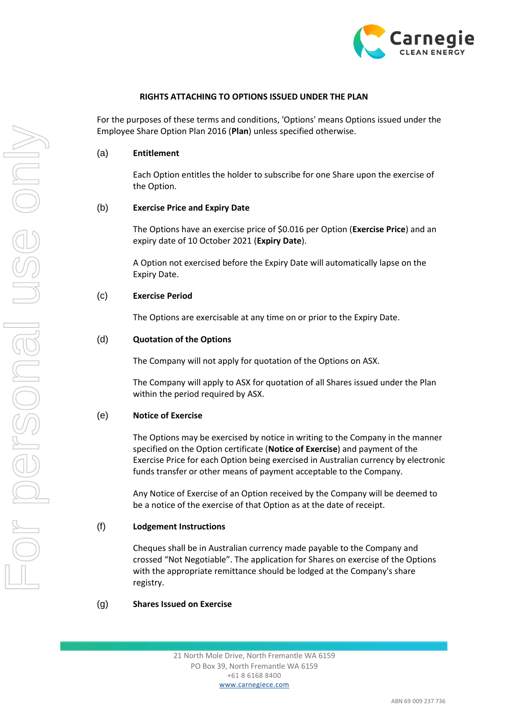

### **RIGHTS ATTACHING TO OPTIONS ISSUED UNDER THE PLAN**

For the purposes of these terms and conditions, 'Options' means Options issued under the Employee Share Option Plan 2016 (**Plan**) unless specified otherwise.

#### (a) **Entitlement**

Each Option entitles the holder to subscribe for one Share upon the exercise of the Option.

#### (b) **Exercise Price and Expiry Date**

The Options have an exercise price of \$0.016 per Option (**Exercise Price**) and an expiry date of 10 October 2021 (**Expiry Date**).

A Option not exercised before the Expiry Date will automatically lapse on the Expiry Date.

### (c) **Exercise Period**

The Options are exercisable at any time on or prior to the Expiry Date.

#### (d) **Quotation of the Options**

The Company will not apply for quotation of the Options on ASX.

The Company will apply to ASX for quotation of all Shares issued under the Plan within the period required by ASX.

#### (e) **Notice of Exercise**

The Options may be exercised by notice in writing to the Company in the manner specified on the Option certificate (**Notice of Exercise**) and payment of the Exercise Price for each Option being exercised in Australian currency by electronic funds transfer or other means of payment acceptable to the Company.

Any Notice of Exercise of an Option received by the Company will be deemed to be a notice of the exercise of that Option as at the date of receipt.

### (f) **Lodgement Instructions**

Cheques shall be in Australian currency made payable to the Company and crossed "Not Negotiable". The application for Shares on exercise of the Options with the appropriate remittance should be lodged at the Company's share registry.

### (g) **Shares Issued on Exercise**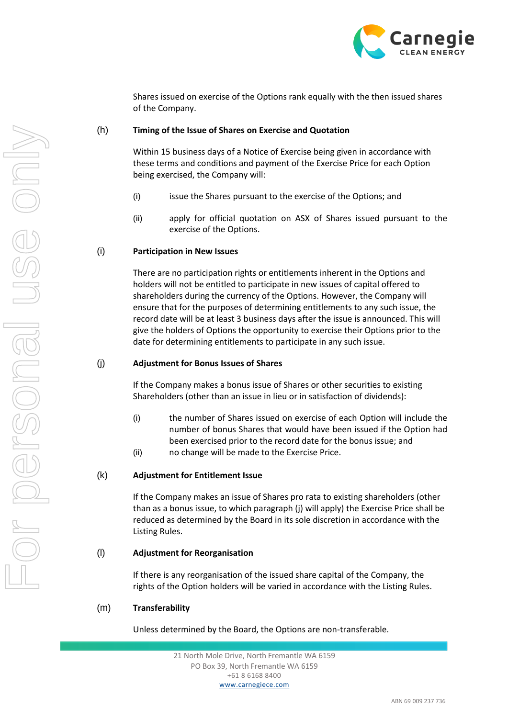

Shares issued on exercise of the Options rank equally with the then issued shares of the Company.

## (h) **Timing of the Issue of Shares on Exercise and Quotation**

Within 15 business days of a Notice of Exercise being given in accordance with these terms and conditions and payment of the Exercise Price for each Option being exercised, the Company will:

- (i) issue the Shares pursuant to the exercise of the Options; and
- (ii) apply for official quotation on ASX of Shares issued pursuant to the exercise of the Options.

## (i) **Participation in New Issues**

There are no participation rights or entitlements inherent in the Options and holders will not be entitled to participate in new issues of capital offered to shareholders during the currency of the Options. However, the Company will ensure that for the purposes of determining entitlements to any such issue, the record date will be at least 3 business days after the issue is announced. This will give the holders of Options the opportunity to exercise their Options prior to the date for determining entitlements to participate in any such issue.

## (j) **Adjustment for Bonus Issues of Shares**

If the Company makes a bonus issue of Shares or other securities to existing Shareholders (other than an issue in lieu or in satisfaction of dividends):

- (i) the number of Shares issued on exercise of each Option will include the number of bonus Shares that would have been issued if the Option had been exercised prior to the record date for the bonus issue; and
- (ii) no change will be made to the Exercise Price.

## (k) **Adjustment for Entitlement Issue**

If the Company makes an issue of Shares pro rata to existing shareholders (other than as a bonus issue, to which paragraph (j) will apply) the Exercise Price shall be reduced as determined by the Board in its sole discretion in accordance with the Listing Rules.

## (l) **Adjustment for Reorganisation**

If there is any reorganisation of the issued share capital of the Company, the rights of the Option holders will be varied in accordance with the Listing Rules.

## (m) **Transferability**

Unless determined by the Board, the Options are non-transferable.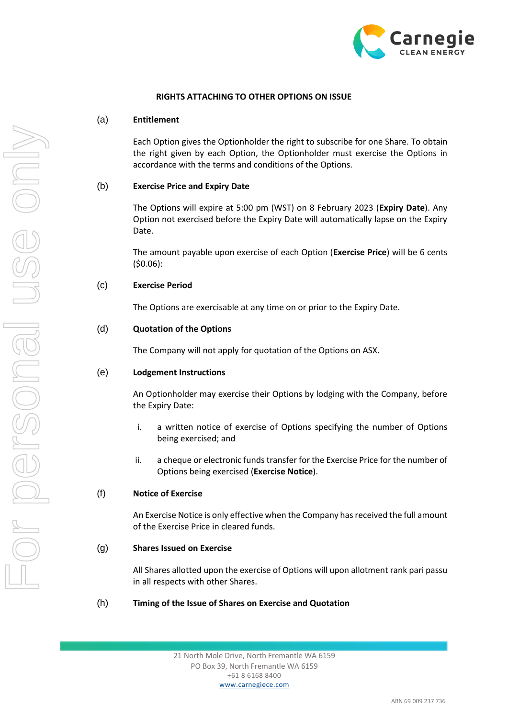

### **RIGHTS ATTACHING TO OTHER OPTIONS ON ISSUE**

### (a) **Entitlement**

Each Option gives the Optionholder the right to subscribe for one Share. To obtain the right given by each Option, the Optionholder must exercise the Options in accordance with the terms and conditions of the Options.

### (b) **Exercise Price and Expiry Date**

The Options will expire at 5:00 pm (WST) on 8 February 2023 (**Expiry Date**). Any Option not exercised before the Expiry Date will automatically lapse on the Expiry Date.

The amount payable upon exercise of each Option (**Exercise Price**) will be 6 cents (\$0.06):

## (c) **Exercise Period**

The Options are exercisable at any time on or prior to the Expiry Date.

## (d) **Quotation of the Options**

The Company will not apply for quotation of the Options on ASX.

## (e) **Lodgement Instructions**

An Optionholder may exercise their Options by lodging with the Company, before the Expiry Date:

- i. a written notice of exercise of Options specifying the number of Options being exercised; and
- ii. a cheque or electronic funds transfer for the Exercise Price for the number of Options being exercised (**Exercise Notice**).

## (f) **Notice of Exercise**

An Exercise Notice is only effective when the Company has received the full amount of the Exercise Price in cleared funds.

### (g) **Shares Issued on Exercise**

All Shares allotted upon the exercise of Options will upon allotment rank pari passu in all respects with other Shares.

## (h) **Timing of the Issue of Shares on Exercise and Quotation**